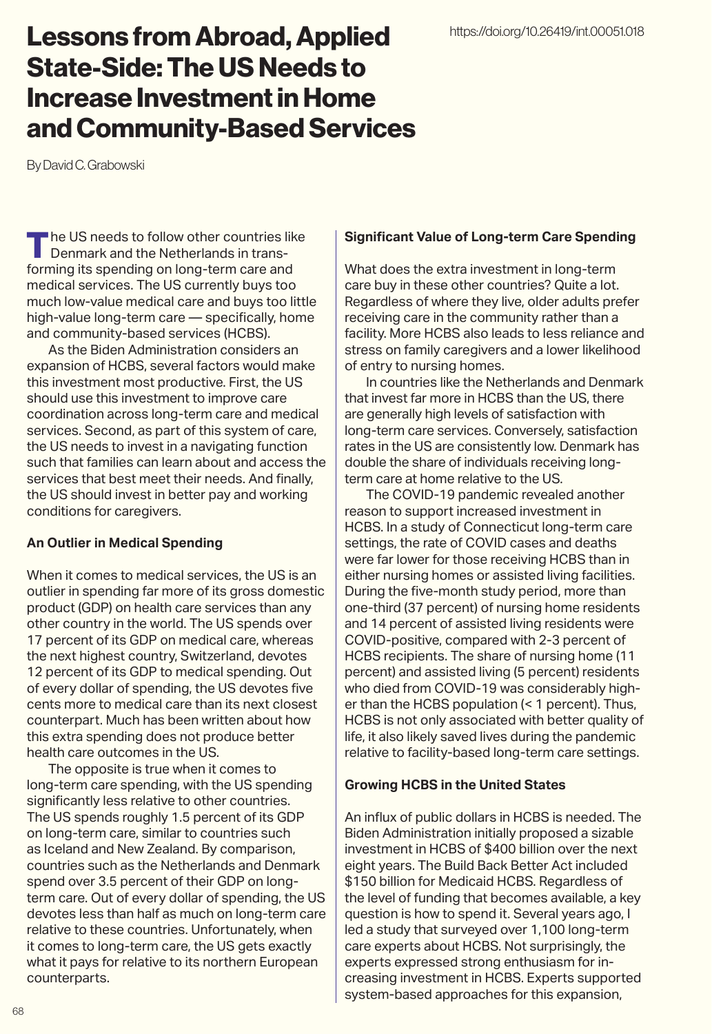# Lessons from Abroad, Applied State-Side: The US Needs to Increase Investment in Home and Community-Based Services

By David C. Grabowski

The US needs to follow other countries like Denmark and the Netherlands in transforming its spending on long-term care and medical services. The US currently buys too much low-value medical care and buys too little high-value long-term care — specifically, home and community-based services (HCBS).

As the Biden Administration considers an expansion of HCBS, several factors would make this investment most productive. First, the US should use this investment to improve care coordination across long-term care and medical services. Second, as part of this system of care, the US needs to invest in a navigating function such that families can learn about and access the services that best meet their needs. And finally, the US should invest in better pay and working conditions for caregivers.

#### **An Outlier in Medical Spending**

When it comes to medical services, the US is an outlier in spending far more of its gross domestic product (GDP) on health care services than any other country in the world. The US spends over 17 percent of its GDP on medical care, whereas the next highest country, Switzerland, devotes 12 percent of its GDP to medical spending. Out of every dollar of spending, the US devotes five cents more to medical care than its next closest counterpart. Much has been written about how this extra spending does not produce better health care outcomes in the US.

The opposite is true when it comes to long-term care spending, with the US spending significantly less relative to other countries. The US spends roughly 1.5 percent of its GDP on long-term care, similar to countries such as Iceland and New Zealand. By comparison, countries such as the Netherlands and Denmark spend over 3.5 percent of their GDP on longterm care. Out of every dollar of spending, the US devotes less than half as much on long-term care relative to these countries. Unfortunately, when it comes to long-term care, the US gets exactly what it pays for relative to its northern European counterparts.

### **Significant Value of Long-term Care Spending**

What does the extra investment in long-term care buy in these other countries? Quite a lot. Regardless of where they live, older adults prefer receiving care in the community rather than a facility. More HCBS also leads to less reliance and stress on family caregivers and a lower likelihood of entry to nursing homes.

In countries like the Netherlands and Denmark that invest far more in HCBS than the US, there are generally high levels of satisfaction with long-term care services. Conversely, satisfaction rates in the US are consistently low. Denmark has double the share of individuals receiving longterm care at home relative to the US.

The COVID-19 pandemic revealed another reason to support increased investment in HCBS. In a study of Connecticut long-term care settings, the rate of COVID cases and deaths were far lower for those receiving HCBS than in either nursing homes or assisted living facilities. During the five-month study period, more than one-third (37 percent) of nursing home residents and 14 percent of assisted living residents were COVID-positive, compared with 2-3 percent of HCBS recipients. The share of nursing home (11 percent) and assisted living (5 percent) residents who died from COVID-19 was considerably higher than the HCBS population (< 1 percent). Thus, HCBS is not only associated with better quality of life, it also likely saved lives during the pandemic relative to facility-based long-term care settings.

## **Growing HCBS in the United States**

An influx of public dollars in HCBS is needed. The Biden Administration initially proposed a sizable investment in HCBS of \$400 billion over the next eight years. The Build Back Better Act included \$150 billion for Medicaid HCBS. Regardless of the level of funding that becomes available, a key question is how to spend it. Several years ago, I led a study that surveyed over 1,100 long-term care experts about HCBS. Not surprisingly, the experts expressed strong enthusiasm for increasing investment in HCBS. Experts supported system-based approaches for this expansion,